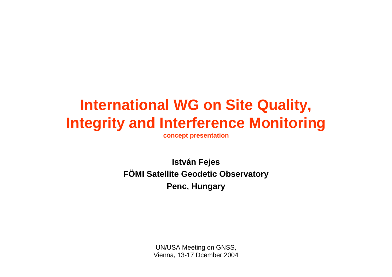## **International WG on Site Quality, Integrity and Interference Monitoring**

**concept presentation**

**István Fejes FÖMI Satellite Geodetic Observatory Penc, Hungary**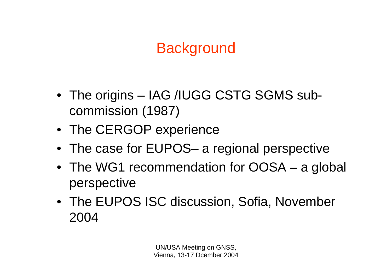## **Background**

- The origins IAG /IUGG CSTG SGMS subcommission (1987)
- The CERGOP experience
- The case for EUPOS– a regional perspective
- The WG1 recommendation for OOSA a global perspective
- The EUPOS ISC discussion, Sofia, November 2004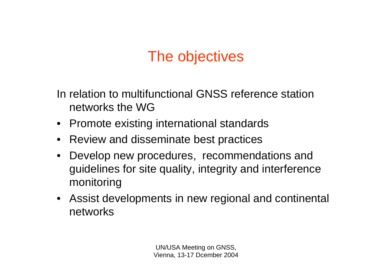#### The objectives

In relation to multifunctional GNSS reference station networks the WG

- Promote existing international standards
- Review and disseminate best practices
- $\bullet$  Develop new procedures, recommendations and guidelines for site quality, integrity and interference monitoring
- Assist developments in new regional and continental networks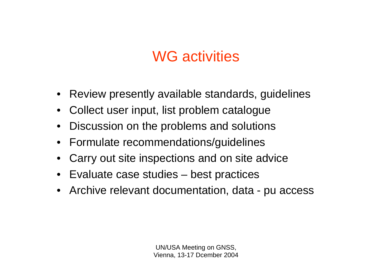#### WG activities

- Review presently available standards, guidelines
- $\bullet$ Collect user input, list problem catalogue
- $\bullet$ Discussion on the problems and solutions
- Formulate recommendations/guidelines
- $\bullet$ Carry out site inspections and on site advice
- Evaluate case studies best practices
- Archive relevant documentation, data pu access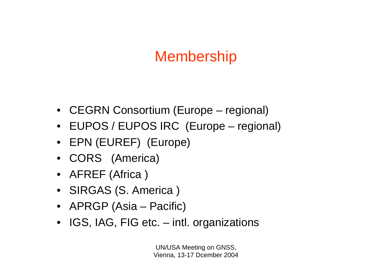### Membership

- CEGRN Consortium (Europe regional)
- EUPOS / EUPOS IRC (Europe regional)
- EPN (EUREF) (Europe)
- CORS (America)
- AFREF (Africa )
- SIRGAS (S. America )
- APRGP (Asia Pacific)
- IGS, IAG, FIG etc. intl. organizations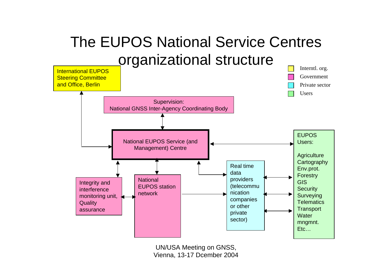## The EUPOS National Service Centres organizational structure

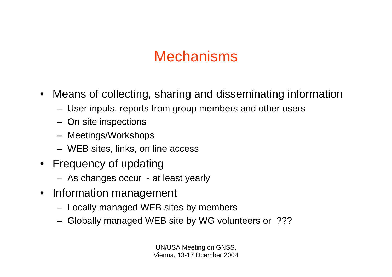#### **Mechanisms**

- • Means of collecting, sharing and disseminating information
	- User inputs, reports from group members and other users
	- On site inspections
	- Meetings/Workshops
	- WEB sites, links, on line access
- Frequency of updating
	- As changes occur at least yearly
- Information management
	- Locally managed WEB sites by members
	- Globally managed WEB site by WG volunteers or ???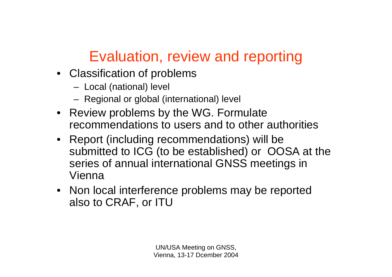# Evaluation, review and reporting

- Classification of problems
	- Local (national) level
	- Regional or global (international) level
- Review problems by the WG. Formulate recommendations to users and to other authorities
- Report (including recommendations) will be submitted to ICG (to be established) or OOSA at the series of annual international GNSS meetings in Vienna
- Non local interference problems may be reported also to CRAF, or ITU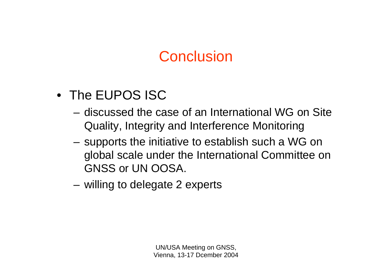#### **Conclusion**

- The EUPOS ISC
	- discussed the case of an International WG on Site Quality, Integrity and Interference Monitoring
	- **Links of the Company**  supports the initiative to establish such a WG on global scale under the International Committee on GNSS or UN OOSA.
	- and the state of the willing to delegate 2 experts